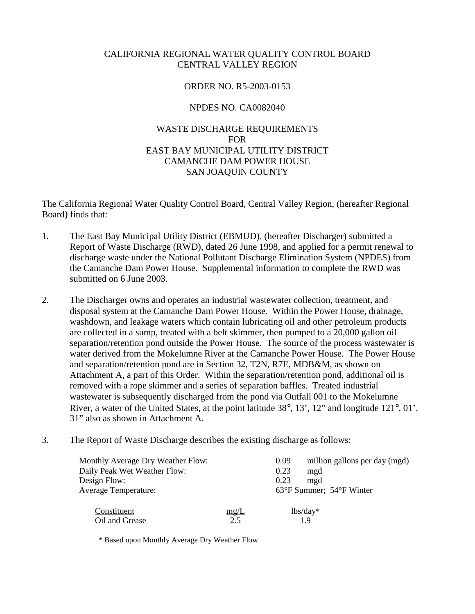# CALIFORNIA REGIONAL WATER QUALITY CONTROL BOARD CENTRAL VALLEY REGION

### ORDER NO. R5-2003-0153

### NPDES NO. CA0082040

# WASTE DISCHARGE REQUIREMENTS FOR EAST BAY MUNICIPAL UTILITY DISTRICT CAMANCHE DAM POWER HOUSE SAN JOAQUIN COUNTY

The California Regional Water Quality Control Board, Central Valley Region, (hereafter Regional Board) finds that:

- 1. The East Bay Municipal Utility District (EBMUD), (hereafter Discharger) submitted a Report of Waste Discharge (RWD), dated 26 June 1998, and applied for a permit renewal to discharge waste under the National Pollutant Discharge Elimination System (NPDES) from the Camanche Dam Power House. Supplemental information to complete the RWD was submitted on 6 June 2003.
- 2. The Discharger owns and operates an industrial wastewater collection, treatment, and disposal system at the Camanche Dam Power House. Within the Power House, drainage, washdown, and leakage waters which contain lubricating oil and other petroleum products are collected in a sump, treated with a belt skimmer, then pumped to a 20,000 gallon oil separation/retention pond outside the Power House. The source of the process wastewater is water derived from the Mokelumne River at the Camanche Power House. The Power House and separation/retention pond are in Section 32, T2N, R7E, MDB&M, as shown on Attachment A, a part of this Order. Within the separation/retention pond, additional oil is removed with a rope skimmer and a series of separation baffles. Treated industrial wastewater is subsequently discharged from the pond via Outfall 001 to the Mokelumne River, a water of the United States, at the point latitude 38°, 13', 12" and longitude 121°, 01', 31" also as shown in Attachment A.
- 3. The Report of Waste Discharge describes the existing discharge as follows:

| <b>Monthly Average Dry Weather Flow:</b> |      | 0.09 | million gallons per day (mgd)                |
|------------------------------------------|------|------|----------------------------------------------|
| Daily Peak Wet Weather Flow:             |      | 0.23 | mgd                                          |
| Design Flow:                             |      | 0.23 | mgd                                          |
| <b>Average Temperature:</b>              |      |      | $63^{\circ}$ F Summer; $54^{\circ}$ F Winter |
| Constituent                              | mg/L |      | $lbs/day*$                                   |
| Oil and Grease                           | 2.5  |      | 19                                           |

\* Based upon Monthly Average Dry Weather Flow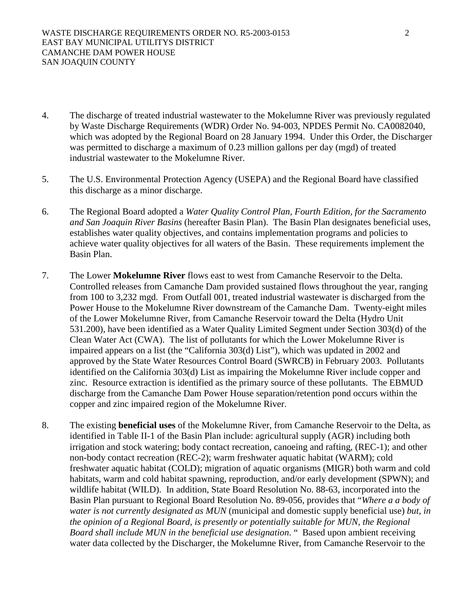- 4. The discharge of treated industrial wastewater to the Mokelumne River was previously regulated by Waste Discharge Requirements (WDR) Order No. 94-003, NPDES Permit No. CA0082040, which was adopted by the Regional Board on 28 January 1994. Under this Order, the Discharger was permitted to discharge a maximum of 0.23 million gallons per day (mgd) of treated industrial wastewater to the Mokelumne River.
- 5. The U.S. Environmental Protection Agency (USEPA) and the Regional Board have classified this discharge as a minor discharge.
- 6. The Regional Board adopted a *Water Quality Control Plan, Fourth Edition, for the Sacramento and San Joaquin River Basins* (hereafter Basin Plan). The Basin Plan designates beneficial uses, establishes water quality objectives, and contains implementation programs and policies to achieve water quality objectives for all waters of the Basin. These requirements implement the Basin Plan.
- 7. The Lower **Mokelumne River** flows east to west from Camanche Reservoir to the Delta. Controlled releases from Camanche Dam provided sustained flows throughout the year, ranging from 100 to 3,232 mgd. From Outfall 001, treated industrial wastewater is discharged from the Power House to the Mokelumne River downstream of the Camanche Dam. Twenty-eight miles of the Lower Mokelumne River, from Camanche Reservoir toward the Delta (Hydro Unit 531.200), have been identified as a Water Quality Limited Segment under Section 303(d) of the Clean Water Act (CWA). The list of pollutants for which the Lower Mokelumne River is impaired appears on a list (the "California 303(d) List"), which was updated in 2002 and approved by the State Water Resources Control Board (SWRCB) in February 2003. Pollutants identified on the California 303(d) List as impairing the Mokelumne River include copper and zinc. Resource extraction is identified as the primary source of these pollutants. The EBMUD discharge from the Camanche Dam Power House separation/retention pond occurs within the copper and zinc impaired region of the Mokelumne River.
- 8. The existing **beneficial uses** of the Mokelumne River, from Camanche Reservoir to the Delta, as identified in Table II-1 of the Basin Plan include: agricultural supply (AGR) including both irrigation and stock watering; body contact recreation, canoeing and rafting, (REC-1); and other non-body contact recreation (REC-2); warm freshwater aquatic habitat (WARM); cold freshwater aquatic habitat (COLD); migration of aquatic organisms (MIGR) both warm and cold habitats, warm and cold habitat spawning, reproduction, and/or early development (SPWN); and wildlife habitat (WILD). In addition, State Board Resolution No. 88-63, incorporated into the Basin Plan pursuant to Regional Board Resolution No. 89-056, provides that "*Where a a body of water is not currently designated as MUN* (municipal and domestic supply beneficial use) *but, in the opinion of a Regional Board, is presently or potentially suitable for MUN, the Regional Board shall include MUN in the beneficial use designation*. " Based upon ambient receiving water data collected by the Discharger, the Mokelumne River, from Camanche Reservoir to the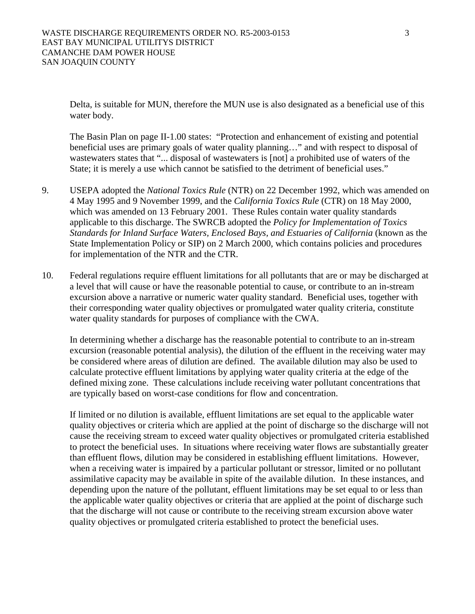Delta, is suitable for MUN, therefore the MUN use is also designated as a beneficial use of this water body.

The Basin Plan on page II-1.00 states: "Protection and enhancement of existing and potential beneficial uses are primary goals of water quality planning…" and with respect to disposal of wastewaters states that "... disposal of wastewaters is [not] a prohibited use of waters of the State; it is merely a use which cannot be satisfied to the detriment of beneficial uses."

- 9. USEPA adopted the *National Toxics Rule* (NTR) on 22 December 1992, which was amended on 4 May 1995 and 9 November 1999, and the *California Toxics Rule* (CTR) on 18 May 2000, which was amended on 13 February 2001. These Rules contain water quality standards applicable to this discharge. The SWRCB adopted the *Policy for Implementation of Toxics Standards for Inland Surface Waters, Enclosed Bays, and Estuaries of California* (known as the State Implementation Policy or SIP) on 2 March 2000, which contains policies and procedures for implementation of the NTR and the CTR.
- 10. Federal regulations require effluent limitations for all pollutants that are or may be discharged at a level that will cause or have the reasonable potential to cause, or contribute to an in-stream excursion above a narrative or numeric water quality standard. Beneficial uses, together with their corresponding water quality objectives or promulgated water quality criteria, constitute water quality standards for purposes of compliance with the CWA.

In determining whether a discharge has the reasonable potential to contribute to an in-stream excursion (reasonable potential analysis), the dilution of the effluent in the receiving water may be considered where areas of dilution are defined. The available dilution may also be used to calculate protective effluent limitations by applying water quality criteria at the edge of the defined mixing zone. These calculations include receiving water pollutant concentrations that are typically based on worst-case conditions for flow and concentration.

If limited or no dilution is available, effluent limitations are set equal to the applicable water quality objectives or criteria which are applied at the point of discharge so the discharge will not cause the receiving stream to exceed water quality objectives or promulgated criteria established to protect the beneficial uses. In situations where receiving water flows are substantially greater than effluent flows, dilution may be considered in establishing effluent limitations. However, when a receiving water is impaired by a particular pollutant or stressor, limited or no pollutant assimilative capacity may be available in spite of the available dilution. In these instances, and depending upon the nature of the pollutant, effluent limitations may be set equal to or less than the applicable water quality objectives or criteria that are applied at the point of discharge such that the discharge will not cause or contribute to the receiving stream excursion above water quality objectives or promulgated criteria established to protect the beneficial uses.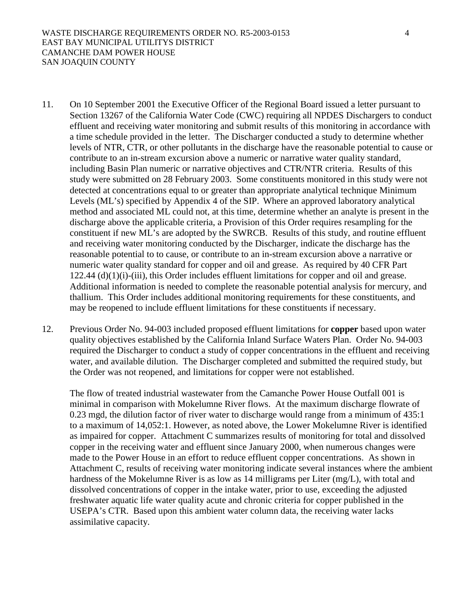- 11. On 10 September 2001 the Executive Officer of the Regional Board issued a letter pursuant to Section 13267 of the California Water Code (CWC) requiring all NPDES Dischargers to conduct effluent and receiving water monitoring and submit results of this monitoring in accordance with a time schedule provided in the letter. The Discharger conducted a study to determine whether levels of NTR, CTR, or other pollutants in the discharge have the reasonable potential to cause or contribute to an in-stream excursion above a numeric or narrative water quality standard, including Basin Plan numeric or narrative objectives and CTR/NTR criteria. Results of this study were submitted on 28 February 2003. Some constituents monitored in this study were not detected at concentrations equal to or greater than appropriate analytical technique Minimum Levels (ML's) specified by Appendix 4 of the SIP. Where an approved laboratory analytical method and associated ML could not, at this time, determine whether an analyte is present in the discharge above the applicable criteria, a Provision of this Order requires resampling for the constituent if new ML's are adopted by the SWRCB. Results of this study, and routine effluent and receiving water monitoring conducted by the Discharger, indicate the discharge has the reasonable potential to to cause, or contribute to an in-stream excursion above a narrative or numeric water quality standard for copper and oil and grease. As required by 40 CFR Part  $122.44$  (d) $(1)(i)$ -(iii), this Order includes effluent limitations for copper and oil and grease. Additional information is needed to complete the reasonable potential analysis for mercury, and thallium. This Order includes additional monitoring requirements for these constituents, and may be reopened to include effluent limitations for these constituents if necessary.
- 12. Previous Order No. 94-003 included proposed effluent limitations for **copper** based upon water quality objectives established by the California Inland Surface Waters Plan. Order No. 94-003 required the Discharger to conduct a study of copper concentrations in the effluent and receiving water, and available dilution. The Discharger completed and submitted the required study, but the Order was not reopened, and limitations for copper were not established.

The flow of treated industrial wastewater from the Camanche Power House Outfall 001 is minimal in comparison with Mokelumne River flows. At the maximum discharge flowrate of 0.23 mgd, the dilution factor of river water to discharge would range from a minimum of 435:1 to a maximum of 14,052:1. However, as noted above, the Lower Mokelumne River is identified as impaired for copper. Attachment C summarizes results of monitoring for total and dissolved copper in the receiving water and effluent since January 2000, when numerous changes were made to the Power House in an effort to reduce effluent copper concentrations. As shown in Attachment C, results of receiving water monitoring indicate several instances where the ambient hardness of the Mokelumne River is as low as 14 milligrams per Liter (mg/L), with total and dissolved concentrations of copper in the intake water, prior to use, exceeding the adjusted freshwater aquatic life water quality acute and chronic criteria for copper published in the USEPA's CTR. Based upon this ambient water column data, the receiving water lacks assimilative capacity.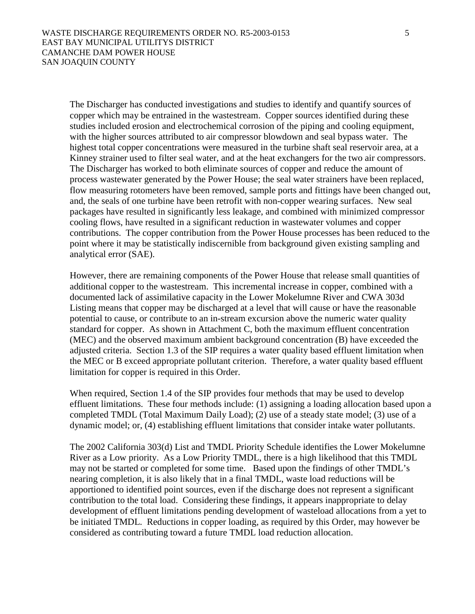The Discharger has conducted investigations and studies to identify and quantify sources of copper which may be entrained in the wastestream. Copper sources identified during these studies included erosion and electrochemical corrosion of the piping and cooling equipment, with the higher sources attributed to air compressor blowdown and seal bypass water. The highest total copper concentrations were measured in the turbine shaft seal reservoir area, at a Kinney strainer used to filter seal water, and at the heat exchangers for the two air compressors. The Discharger has worked to both eliminate sources of copper and reduce the amount of process wastewater generated by the Power House; the seal water strainers have been replaced, flow measuring rotometers have been removed, sample ports and fittings have been changed out, and, the seals of one turbine have been retrofit with non-copper wearing surfaces. New seal packages have resulted in significantly less leakage, and combined with minimized compressor cooling flows, have resulted in a significant reduction in wastewater volumes and copper contributions. The copper contribution from the Power House processes has been reduced to the point where it may be statistically indiscernible from background given existing sampling and analytical error (SAE).

However, there are remaining components of the Power House that release small quantities of additional copper to the wastestream. This incremental increase in copper, combined with a documented lack of assimilative capacity in the Lower Mokelumne River and CWA 303d Listing means that copper may be discharged at a level that will cause or have the reasonable potential to cause, or contribute to an in-stream excursion above the numeric water quality standard for copper. As shown in Attachment C, both the maximum effluent concentration (MEC) and the observed maximum ambient background concentration (B) have exceeded the adjusted criteria. Section 1.3 of the SIP requires a water quality based effluent limitation when the MEC or B exceed appropriate pollutant criterion. Therefore, a water quality based effluent limitation for copper is required in this Order.

When required, Section 1.4 of the SIP provides four methods that may be used to develop effluent limitations. These four methods include: (1) assigning a loading allocation based upon a completed TMDL (Total Maximum Daily Load); (2) use of a steady state model; (3) use of a dynamic model; or, (4) establishing effluent limitations that consider intake water pollutants.

 The 2002 California 303(d) List and TMDL Priority Schedule identifies the Lower Mokelumne River as a Low priority. As a Low Priority TMDL, there is a high likelihood that this TMDL may not be started or completed for some time. Based upon the findings of other TMDL's nearing completion, it is also likely that in a final TMDL, waste load reductions will be apportioned to identified point sources, even if the discharge does not represent a significant contribution to the total load. Considering these findings, it appears inappropriate to delay development of effluent limitations pending development of wasteload allocations from a yet to be initiated TMDL. Reductions in copper loading, as required by this Order, may however be considered as contributing toward a future TMDL load reduction allocation.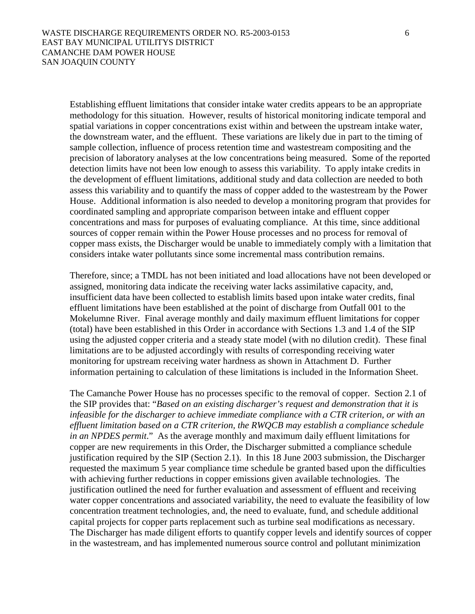Establishing effluent limitations that consider intake water credits appears to be an appropriate methodology for this situation. However, results of historical monitoring indicate temporal and spatial variations in copper concentrations exist within and between the upstream intake water, the downstream water, and the effluent. These variations are likely due in part to the timing of sample collection, influence of process retention time and wastestream compositing and the precision of laboratory analyses at the low concentrations being measured. Some of the reported detection limits have not been low enough to assess this variability. To apply intake credits in the development of effluent limitations, additional study and data collection are needed to both assess this variability and to quantify the mass of copper added to the wastestream by the Power House. Additional information is also needed to develop a monitoring program that provides for coordinated sampling and appropriate comparison between intake and effluent copper concentrations and mass for purposes of evaluating compliance. At this time, since additional sources of copper remain within the Power House processes and no process for removal of copper mass exists, the Discharger would be unable to immediately comply with a limitation that considers intake water pollutants since some incremental mass contribution remains.

 Therefore, since; a TMDL has not been initiated and load allocations have not been developed or assigned, monitoring data indicate the receiving water lacks assimilative capacity, and, insufficient data have been collected to establish limits based upon intake water credits, final effluent limitations have been established at the point of discharge from Outfall 001 to the Mokelumne River. Final average monthly and daily maximum effluent limitations for copper (total) have been established in this Order in accordance with Sections 1.3 and 1.4 of the SIP using the adjusted copper criteria and a steady state model (with no dilution credit). These final limitations are to be adjusted accordingly with results of corresponding receiving water monitoring for upstream receiving water hardness as shown in Attachment D. Further information pertaining to calculation of these limitations is included in the Information Sheet.

 The Camanche Power House has no processes specific to the removal of copper. Section 2.1 of the SIP provides that: "*Based on an existing discharger's request and demonstration that it is infeasible for the discharger to achieve immediate compliance with a CTR criterion, or with an effluent limitation based on a CTR criterion, the RWQCB may establish a compliance schedule in an NPDES permit*." As the average monthly and maximum daily effluent limitations for copper are new requirements in this Order, the Discharger submitted a compliance schedule justification required by the SIP (Section 2.1). In this 18 June 2003 submission, the Discharger requested the maximum 5 year compliance time schedule be granted based upon the difficulties with achieving further reductions in copper emissions given available technologies. The justification outlined the need for further evaluation and assessment of effluent and receiving water copper concentrations and associated variability, the need to evaluate the feasibility of low concentration treatment technologies, and, the need to evaluate, fund, and schedule additional capital projects for copper parts replacement such as turbine seal modifications as necessary. The Discharger has made diligent efforts to quantify copper levels and identify sources of copper in the wastestream, and has implemented numerous source control and pollutant minimization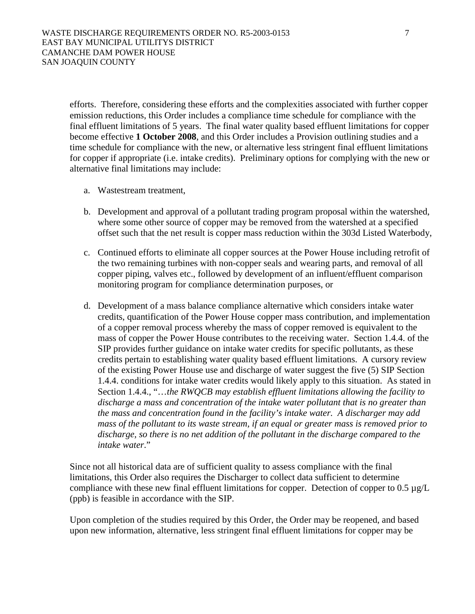efforts. Therefore, considering these efforts and the complexities associated with further copper emission reductions, this Order includes a compliance time schedule for compliance with the final effluent limitations of 5 years. The final water quality based effluent limitations for copper become effective **1 October 2008**, and this Order includes a Provision outlining studies and a time schedule for compliance with the new, or alternative less stringent final effluent limitations for copper if appropriate (i.e. intake credits). Preliminary options for complying with the new or alternative final limitations may include:

- a. Wastestream treatment,
- b. Development and approval of a pollutant trading program proposal within the watershed, where some other source of copper may be removed from the watershed at a specified offset such that the net result is copper mass reduction within the 303d Listed Waterbody,
- c. Continued efforts to eliminate all copper sources at the Power House including retrofit of the two remaining turbines with non-copper seals and wearing parts, and removal of all copper piping, valves etc., followed by development of an influent/effluent comparison monitoring program for compliance determination purposes, or
- d. Development of a mass balance compliance alternative which considers intake water credits, quantification of the Power House copper mass contribution, and implementation of a copper removal process whereby the mass of copper removed is equivalent to the mass of copper the Power House contributes to the receiving water. Section 1.4.4. of the SIP provides further guidance on intake water credits for specific pollutants, as these credits pertain to establishing water quality based effluent limitations. A cursory review of the existing Power House use and discharge of water suggest the five (5) SIP Section 1.4.4. conditions for intake water credits would likely apply to this situation. As stated in Section 1.4.4., "…*the RWQCB may establish effluent limitations allowing the facility to discharge a mass and concentration of the intake water pollutant that is no greater than the mass and concentration found in the facility's intake water. A discharger may add mass of the pollutant to its waste stream, if an equal or greater mass is removed prior to discharge, so there is no net addition of the pollutant in the discharge compared to the intake water*."

Since not all historical data are of sufficient quality to assess compliance with the final limitations, this Order also requires the Discharger to collect data sufficient to determine compliance with these new final effluent limitations for copper. Detection of copper to  $0.5 \mu g/L$ (ppb) is feasible in accordance with the SIP.

Upon completion of the studies required by this Order, the Order may be reopened, and based upon new information, alternative, less stringent final effluent limitations for copper may be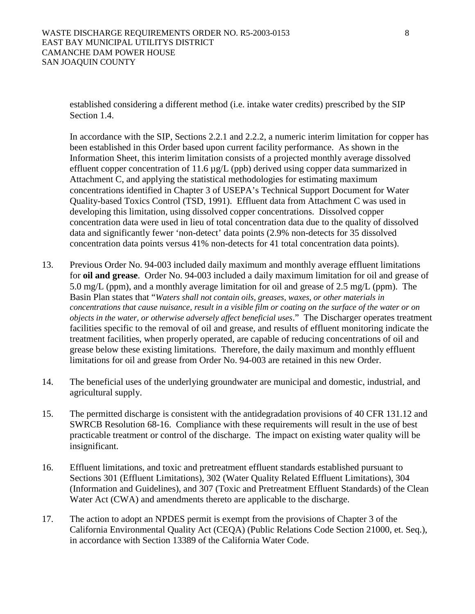established considering a different method (i.e. intake water credits) prescribed by the SIP Section 1.4.

 In accordance with the SIP, Sections 2.2.1 and 2.2.2, a numeric interim limitation for copper has been established in this Order based upon current facility performance. As shown in the Information Sheet, this interim limitation consists of a projected monthly average dissolved effluent copper concentration of 11.6 µg/L (ppb) derived using copper data summarized in Attachment C, and applying the statistical methodologies for estimating maximum concentrations identified in Chapter 3 of USEPA's Technical Support Document for Water Quality-based Toxics Control (TSD, 1991). Effluent data from Attachment C was used in developing this limitation, using dissolved copper concentrations. Dissolved copper concentration data were used in lieu of total concentration data due to the quality of dissolved data and significantly fewer 'non-detect' data points (2.9% non-detects for 35 dissolved concentration data points versus 41% non-detects for 41 total concentration data points).

- 13. Previous Order No. 94-003 included daily maximum and monthly average effluent limitations for **oil and grease**. Order No. 94-003 included a daily maximum limitation for oil and grease of 5.0 mg/L (ppm), and a monthly average limitation for oil and grease of 2.5 mg/L (ppm). The Basin Plan states that "*Waters shall not contain oils, greases, waxes, or other materials in concentrations that cause nuisance, result in a visible film or coating on the surface of the water or on objects in the water, or otherwise adversely affect beneficial uses*." The Discharger operates treatment facilities specific to the removal of oil and grease, and results of effluent monitoring indicate the treatment facilities, when properly operated, are capable of reducing concentrations of oil and grease below these existing limitations. Therefore, the daily maximum and monthly effluent limitations for oil and grease from Order No. 94-003 are retained in this new Order.
- 14. The beneficial uses of the underlying groundwater are municipal and domestic, industrial, and agricultural supply.
- 15. The permitted discharge is consistent with the antidegradation provisions of 40 CFR 131.12 and SWRCB Resolution 68-16. Compliance with these requirements will result in the use of best practicable treatment or control of the discharge. The impact on existing water quality will be insignificant.
- 16. Effluent limitations, and toxic and pretreatment effluent standards established pursuant to Sections 301 (Effluent Limitations), 302 (Water Quality Related Effluent Limitations), 304 (Information and Guidelines), and 307 (Toxic and Pretreatment Effluent Standards) of the Clean Water Act (CWA) and amendments thereto are applicable to the discharge.
- 17. The action to adopt an NPDES permit is exempt from the provisions of Chapter 3 of the California Environmental Quality Act (CEQA) (Public Relations Code Section 21000, et. Seq.), in accordance with Section 13389 of the California Water Code.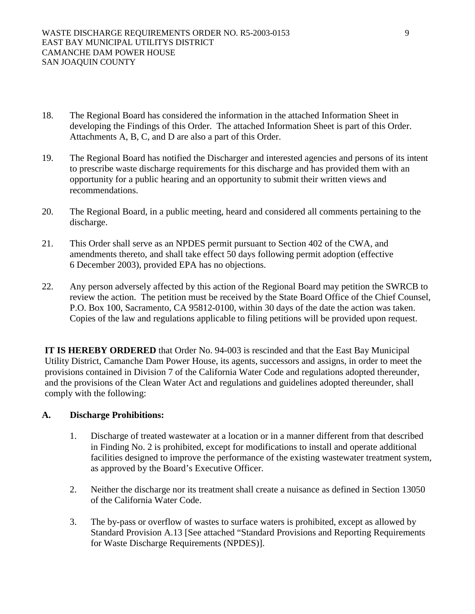- 18. The Regional Board has considered the information in the attached Information Sheet in developing the Findings of this Order. The attached Information Sheet is part of this Order. Attachments A, B, C, and D are also a part of this Order.
- 19. The Regional Board has notified the Discharger and interested agencies and persons of its intent to prescribe waste discharge requirements for this discharge and has provided them with an opportunity for a public hearing and an opportunity to submit their written views and recommendations.
- 20. The Regional Board, in a public meeting, heard and considered all comments pertaining to the discharge.
- 21. This Order shall serve as an NPDES permit pursuant to Section 402 of the CWA, and amendments thereto, and shall take effect 50 days following permit adoption (effective 6 December 2003), provided EPA has no objections.
- 22. Any person adversely affected by this action of the Regional Board may petition the SWRCB to review the action. The petition must be received by the State Board Office of the Chief Counsel, P.O. Box 100, Sacramento, CA 95812-0100, within 30 days of the date the action was taken. Copies of the law and regulations applicable to filing petitions will be provided upon request.

**IT IS HEREBY ORDERED** that Order No. 94-003 is rescinded and that the East Bay Municipal Utility District, Camanche Dam Power House, its agents, successors and assigns, in order to meet the provisions contained in Division 7 of the California Water Code and regulations adopted thereunder, and the provisions of the Clean Water Act and regulations and guidelines adopted thereunder, shall comply with the following:

## **A. Discharge Prohibitions:**

- 1. Discharge of treated wastewater at a location or in a manner different from that described in Finding No. 2 is prohibited, except for modifications to install and operate additional facilities designed to improve the performance of the existing wastewater treatment system, as approved by the Board's Executive Officer.
- 2. Neither the discharge nor its treatment shall create a nuisance as defined in Section 13050 of the California Water Code.
- 3. The by-pass or overflow of wastes to surface waters is prohibited, except as allowed by Standard Provision A.13 [See attached "Standard Provisions and Reporting Requirements for Waste Discharge Requirements (NPDES)].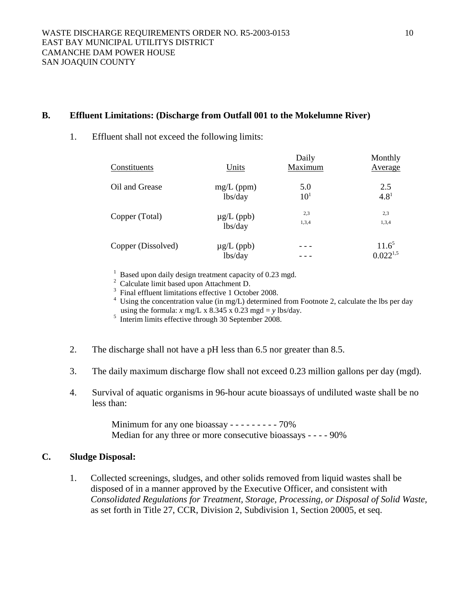## **B. Effluent Limitations: (Discharge from Outfall 001 to the Mokelumne River)**

### 1. Effluent shall not exceed the following limits:

| Constituents       | Units                      | Daily<br>Maximum | Monthly<br><b>Average</b> |
|--------------------|----------------------------|------------------|---------------------------|
| Oil and Grease     | $mg/L$ (ppm)               | 5.0              | 2.5                       |
|                    | lbs/day                    | 10 <sup>1</sup>  | $4.8^{1}$                 |
| Copper (Total)     | $\mu$ g/L (ppb)            | 2,3              | 2,3                       |
|                    | lbs/day                    | 1,3,4            | 1,3,4                     |
| Copper (Dissolved) | $\mu$ g/L (ppb)<br>lbs/day |                  | $11.6^5$<br>$0.022^{1,5}$ |

<sup>1</sup> Based upon daily design treatment capacity of 0.23 mgd.

 $2 \text{ Calculate limit based upon Attachment D.}$ 

<sup>3</sup> Final effluent limitations effective 1 October 2008.

 $4$  Using the concentration value (in mg/L) determined from Footnote 2, calculate the lbs per day using the formula:  $x \text{ mg/L x } 8.345 \text{ x } 0.23 \text{ mgd} = y \text{ lbs/day}.$ 

 $<sup>5</sup>$  Interim limits effective through 30 September 2008.</sup>

- 2. The discharge shall not have a pH less than 6.5 nor greater than 8.5.
- 3. The daily maximum discharge flow shall not exceed 0.23 million gallons per day (mgd).
- 4. Survival of aquatic organisms in 96-hour acute bioassays of undiluted waste shall be no less than:

Minimum for any one bioassay - - - - - - - - - 70% Median for any three or more consecutive bioassays - - - - 90%

### **C. Sludge Disposal:**

1. Collected screenings, sludges, and other solids removed from liquid wastes shall be disposed of in a manner approved by the Executive Officer, and consistent with *Consolidated Regulations for Treatment, Storage, Processing, or Disposal of Solid Waste,*  as set forth in Title 27, CCR, Division 2, Subdivision 1, Section 20005, et seq.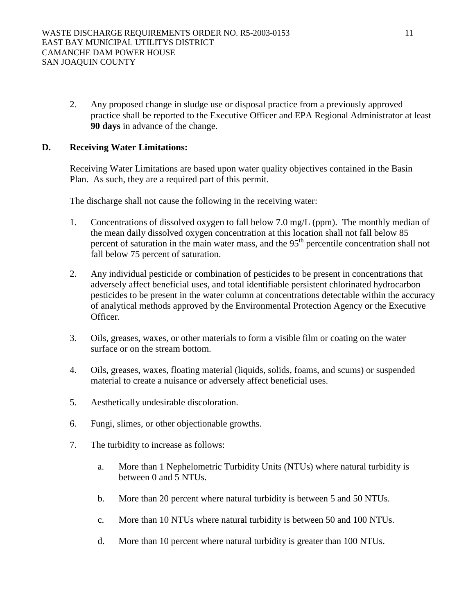2. Any proposed change in sludge use or disposal practice from a previously approved practice shall be reported to the Executive Officer and EPA Regional Administrator at least **90 days** in advance of the change.

# **D. Receiving Water Limitations:**

Receiving Water Limitations are based upon water quality objectives contained in the Basin Plan. As such, they are a required part of this permit.

The discharge shall not cause the following in the receiving water:

- 1. Concentrations of dissolved oxygen to fall below 7.0 mg/L (ppm). The monthly median of the mean daily dissolved oxygen concentration at this location shall not fall below 85 percent of saturation in the main water mass, and the  $95<sup>th</sup>$  percentile concentration shall not fall below 75 percent of saturation.
- 2. Any individual pesticide or combination of pesticides to be present in concentrations that adversely affect beneficial uses, and total identifiable persistent chlorinated hydrocarbon pesticides to be present in the water column at concentrations detectable within the accuracy of analytical methods approved by the Environmental Protection Agency or the Executive Officer.
- 3. Oils, greases, waxes, or other materials to form a visible film or coating on the water surface or on the stream bottom.
- 4. Oils, greases, waxes, floating material (liquids, solids, foams, and scums) or suspended material to create a nuisance or adversely affect beneficial uses.
- 5. Aesthetically undesirable discoloration.
- 6. Fungi, slimes, or other objectionable growths.
- 7. The turbidity to increase as follows:
	- a. More than 1 Nephelometric Turbidity Units (NTUs) where natural turbidity is between 0 and 5 NTUs.
	- b. More than 20 percent where natural turbidity is between 5 and 50 NTUs.
	- c. More than 10 NTUs where natural turbidity is between 50 and 100 NTUs.
	- d. More than 10 percent where natural turbidity is greater than 100 NTUs.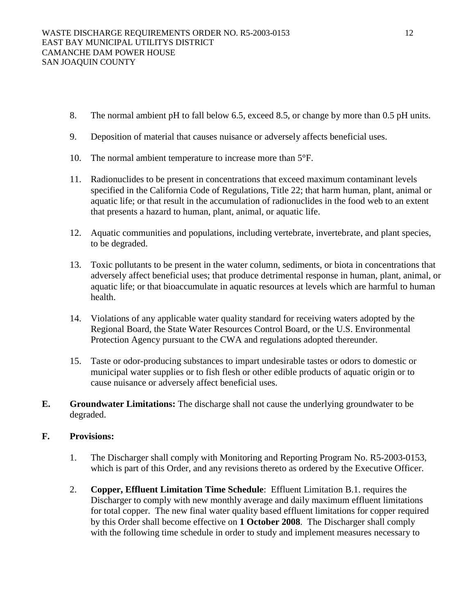- 8. The normal ambient pH to fall below 6.5, exceed 8.5, or change by more than 0.5 pH units.
- 9. Deposition of material that causes nuisance or adversely affects beneficial uses.
- 10. The normal ambient temperature to increase more than 5°F.
- 11. Radionuclides to be present in concentrations that exceed maximum contaminant levels specified in the California Code of Regulations, Title 22; that harm human, plant, animal or aquatic life; or that result in the accumulation of radionuclides in the food web to an extent that presents a hazard to human, plant, animal, or aquatic life.
- 12. Aquatic communities and populations, including vertebrate, invertebrate, and plant species, to be degraded.
- 13. Toxic pollutants to be present in the water column, sediments, or biota in concentrations that adversely affect beneficial uses; that produce detrimental response in human, plant, animal, or aquatic life; or that bioaccumulate in aquatic resources at levels which are harmful to human health.
- 14. Violations of any applicable water quality standard for receiving waters adopted by the Regional Board, the State Water Resources Control Board, or the U.S. Environmental Protection Agency pursuant to the CWA and regulations adopted thereunder.
- 15. Taste or odor-producing substances to impart undesirable tastes or odors to domestic or municipal water supplies or to fish flesh or other edible products of aquatic origin or to cause nuisance or adversely affect beneficial uses.
- **E. Groundwater Limitations:** The discharge shall not cause the underlying groundwater to be degraded.

# **F. Provisions:**

- 1. The Discharger shall comply with Monitoring and Reporting Program No. R5-2003-0153, which is part of this Order, and any revisions thereto as ordered by the Executive Officer.
- 2. **Copper, Effluent Limitation Time Schedule**: Effluent Limitation B.1. requires the Discharger to comply with new monthly average and daily maximum effluent limitations for total copper. The new final water quality based effluent limitations for copper required by this Order shall become effective on **1 October 2008**. The Discharger shall comply with the following time schedule in order to study and implement measures necessary to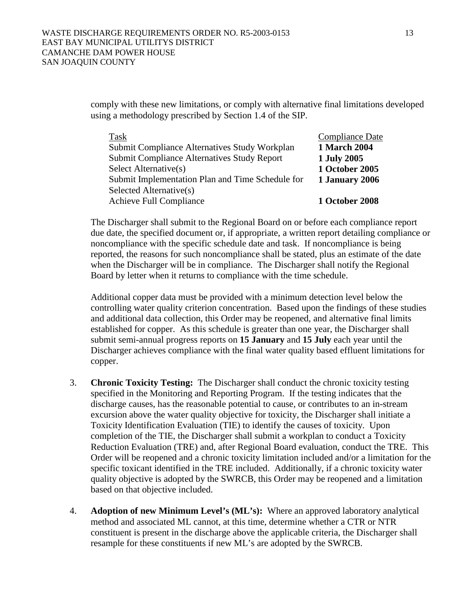comply with these new limitations, or comply with alternative final limitations developed using a methodology prescribed by Section 1.4 of the SIP.

| Task                                             | <b>Compliance Date</b> |
|--------------------------------------------------|------------------------|
| Submit Compliance Alternatives Study Workplan    | <b>1 March 2004</b>    |
| Submit Compliance Alternatives Study Report      | 1 July 2005            |
| Select Alternative(s)                            | <b>1 October 2005</b>  |
| Submit Implementation Plan and Time Schedule for | 1 January 2006         |
| Selected Alternative(s)                          |                        |
| <b>Achieve Full Compliance</b>                   | <b>1 October 2008</b>  |

The Discharger shall submit to the Regional Board on or before each compliance report due date, the specified document or, if appropriate, a written report detailing compliance or noncompliance with the specific schedule date and task. If noncompliance is being reported, the reasons for such noncompliance shall be stated, plus an estimate of the date when the Discharger will be in compliance. The Discharger shall notify the Regional Board by letter when it returns to compliance with the time schedule.

Additional copper data must be provided with a minimum detection level below the controlling water quality criterion concentration. Based upon the findings of these studies and additional data collection, this Order may be reopened, and alternative final limits established for copper. As this schedule is greater than one year, the Discharger shall submit semi-annual progress reports on **15 January** and **15 July** each year until the Discharger achieves compliance with the final water quality based effluent limitations for copper.

- 3. **Chronic Toxicity Testing:** The Discharger shall conduct the chronic toxicity testing specified in the Monitoring and Reporting Program. If the testing indicates that the discharge causes, has the reasonable potential to cause, or contributes to an in-stream excursion above the water quality objective for toxicity, the Discharger shall initiate a Toxicity Identification Evaluation (TIE) to identify the causes of toxicity. Upon completion of the TIE, the Discharger shall submit a workplan to conduct a Toxicity Reduction Evaluation (TRE) and, after Regional Board evaluation, conduct the TRE. This Order will be reopened and a chronic toxicity limitation included and/or a limitation for the specific toxicant identified in the TRE included. Additionally, if a chronic toxicity water quality objective is adopted by the SWRCB, this Order may be reopened and a limitation based on that objective included.
- 4. **Adoption of new Minimum Level's (ML's):** Where an approved laboratory analytical method and associated ML cannot, at this time, determine whether a CTR or NTR constituent is present in the discharge above the applicable criteria, the Discharger shall resample for these constituents if new ML's are adopted by the SWRCB.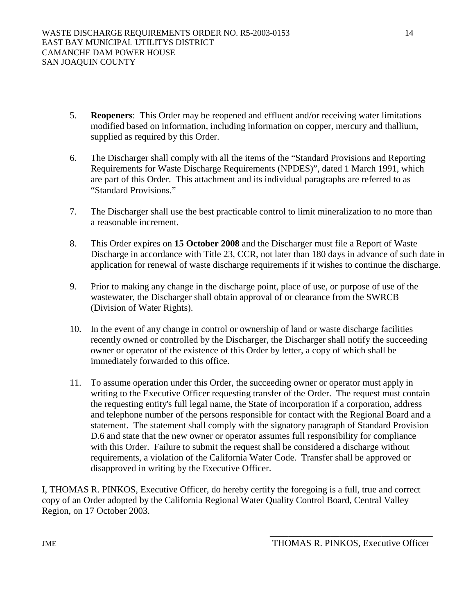- 5. **Reopeners**: This Order may be reopened and effluent and/or receiving water limitations modified based on information, including information on copper, mercury and thallium, supplied as required by this Order.
- 6. The Discharger shall comply with all the items of the "Standard Provisions and Reporting Requirements for Waste Discharge Requirements (NPDES)", dated 1 March 1991, which are part of this Order. This attachment and its individual paragraphs are referred to as "Standard Provisions."
- 7. The Discharger shall use the best practicable control to limit mineralization to no more than a reasonable increment.
- 8. This Order expires on **15 October 2008** and the Discharger must file a Report of Waste Discharge in accordance with Title 23, CCR, not later than 180 days in advance of such date in application for renewal of waste discharge requirements if it wishes to continue the discharge.
- 9. Prior to making any change in the discharge point, place of use, or purpose of use of the wastewater, the Discharger shall obtain approval of or clearance from the SWRCB (Division of Water Rights).
- 10. In the event of any change in control or ownership of land or waste discharge facilities recently owned or controlled by the Discharger, the Discharger shall notify the succeeding owner or operator of the existence of this Order by letter, a copy of which shall be immediately forwarded to this office.
- 11. To assume operation under this Order, the succeeding owner or operator must apply in writing to the Executive Officer requesting transfer of the Order. The request must contain the requesting entity's full legal name, the State of incorporation if a corporation, address and telephone number of the persons responsible for contact with the Regional Board and a statement. The statement shall comply with the signatory paragraph of Standard Provision D.6 and state that the new owner or operator assumes full responsibility for compliance with this Order. Failure to submit the request shall be considered a discharge without requirements, a violation of the California Water Code. Transfer shall be approved or disapproved in writing by the Executive Officer.

I, THOMAS R. PINKOS, Executive Officer, do hereby certify the foregoing is a full, true and correct copy of an Order adopted by the California Regional Water Quality Control Board, Central Valley Region, on 17 October 2003.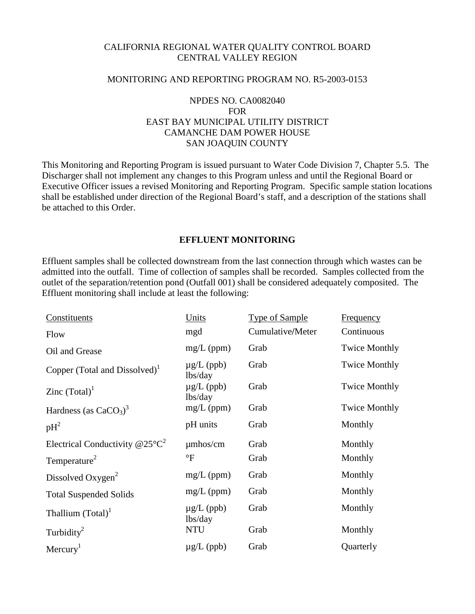# CALIFORNIA REGIONAL WATER QUALITY CONTROL BOARD CENTRAL VALLEY REGION

### MONITORING AND REPORTING PROGRAM NO. R5-2003-0153

# NPDES NO. CA0082040 FOR EAST BAY MUNICIPAL UTILITY DISTRICT CAMANCHE DAM POWER HOUSE SAN JOAQUIN COUNTY

This Monitoring and Reporting Program is issued pursuant to Water Code Division 7, Chapter 5.5. The Discharger shall not implement any changes to this Program unless and until the Regional Board or Executive Officer issues a revised Monitoring and Reporting Program. Specific sample station locations shall be established under direction of the Regional Board's staff, and a description of the stations shall be attached to this Order.

# **EFFLUENT MONITORING**

Effluent samples shall be collected downstream from the last connection through which wastes can be admitted into the outfall. Time of collection of samples shall be recorded. Samples collected from the outlet of the separation/retention pond (Outfall 001) shall be considered adequately composited. The Effluent monitoring shall include at least the following:

| Constituents                              | Units                      | <b>Type of Sample</b> | <b>Frequency</b>     |
|-------------------------------------------|----------------------------|-----------------------|----------------------|
| Flow                                      | mgd                        | Cumulative/Meter      | Continuous           |
| Oil and Grease                            | $mg/L$ (ppm)               | Grab                  | <b>Twice Monthly</b> |
| Copper (Total and Dissolved) <sup>1</sup> | $\mu$ g/L (ppb)<br>lbs/day | Grab                  | <b>Twice Monthly</b> |
| Zinc $(Total)^1$                          | $\mu$ g/L (ppb)<br>lbs/day | Grab                  | <b>Twice Monthly</b> |
| Hardness (as $CaCO3$ ) <sup>3</sup>       | $mg/L$ (ppm)               | Grab                  | <b>Twice Monthly</b> |
| $pH^2$                                    | pH units                   | Grab                  | Monthly              |
| Electrical Conductivity $@25°C^2$         | $\mu$ mhos/cm              | Grab                  | Monthly              |
| Temperature <sup>2</sup>                  | $\mathrm{P}$               | Grab                  | Monthly              |
| Dissolved Oxygen <sup>2</sup>             | $mg/L$ (ppm)               | Grab                  | Monthly              |
| <b>Total Suspended Solids</b>             | $mg/L$ (ppm)               | Grab                  | Monthly              |
| Thallium $(Total)^1$                      | $\mu$ g/L (ppb)<br>lbs/day | Grab                  | Monthly              |
| Turbidity <sup>2</sup>                    | <b>NTU</b>                 | Grab                  | Monthly              |
| Mercury <sup>1</sup>                      | $\mu$ g/L (ppb)            | Grab                  | Quarterly            |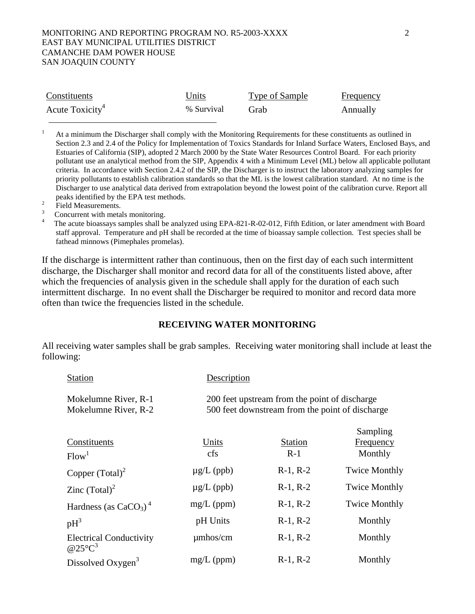### MONITORING AND REPORTING PROGRAM NO. R5-2003-XXXX 2 EAST BAY MUNICIPAL UTILITIES DISTRICT CAMANCHE DAM POWER HOUSE SAN JOAQUIN COUNTY

| Constituents                | Units      | Type of Sample | Frequency |
|-----------------------------|------------|----------------|-----------|
| Acute Toxicity <sup>4</sup> | % Survival | Grab           | Annually  |

1 At a minimum the Discharger shall comply with the Monitoring Requirements for these constituents as outlined in Section 2.3 and 2.4 of the Policy for Implementation of Toxics Standards for Inland Surface Waters, Enclosed Bays, and Estuaries of California (SIP), adopted 2 March 2000 by the State Water Resources Control Board. For each priority pollutant use an analytical method from the SIP, Appendix 4 with a Minimum Level (ML) below all applicable pollutant criteria. In accordance with Section 2.4.2 of the SIP, the Discharger is to instruct the laboratory analyzing samples for priority pollutants to establish calibration standards so that the ML is the lowest calibration standard. At no time is the Discharger to use analytical data derived from extrapolation beyond the lowest point of the calibration curve. Report all peaks identified by the EPA test methods.

- $\frac{2}{3}$  Field Measurements.
- Concurrent with metals monitoring.

 The acute bioassays samples shall be analyzed using EPA-821-R-02-012, Fifth Edition, or later amendment with Board staff approval. Temperature and pH shall be recorded at the time of bioassay sample collection. Test species shall be fathead minnows (Pimephales promelas).

If the discharge is intermittent rather than continuous, then on the first day of each such intermittent discharge, the Discharger shall monitor and record data for all of the constituents listed above, after which the frequencies of analysis given in the schedule shall apply for the duration of each such intermittent discharge. In no event shall the Discharger be required to monitor and record data more often than twice the frequencies listed in the schedule.

### **RECEIVING WATER MONITORING**

All receiving water samples shall be grab samples. Receiving water monitoring shall include at least the following:

| <b>Station</b>                                       | Description     |                                                                                                  |                                         |
|------------------------------------------------------|-----------------|--------------------------------------------------------------------------------------------------|-----------------------------------------|
| Mokelumne River, R-1<br>Mokelumne River, R-2         |                 | 200 feet upstream from the point of discharge<br>500 feet downstream from the point of discharge |                                         |
| Constituents<br>Flow <sup>1</sup>                    | Units<br>cfs    | <b>Station</b><br>$R-1$                                                                          | Sampling<br><b>Frequency</b><br>Monthly |
| Copper $(Total)^2$                                   | $\mu$ g/L (ppb) | $R-1, R-2$                                                                                       | <b>Twice Monthly</b>                    |
| Zinc $(Total)^2$                                     | $\mu$ g/L (ppb) | $R-1, R-2$                                                                                       | <b>Twice Monthly</b>                    |
| Hardness (as $CaCO3$ ) <sup>4</sup>                  | $mg/L$ (ppm)    | $R-1, R-2$                                                                                       | <b>Twice Monthly</b>                    |
| $pH^3$                                               | pH Units        | $R-1, R-2$                                                                                       | Monthly                                 |
| <b>Electrical Conductivity</b><br>@25 $\mathrm{C}^3$ | $\mu$ mhos/cm   | $R-1, R-2$                                                                                       | Monthly                                 |
| Dissolved Oxygen <sup>3</sup>                        | $mg/L$ (ppm)    | $R-1, R-2$                                                                                       | Monthly                                 |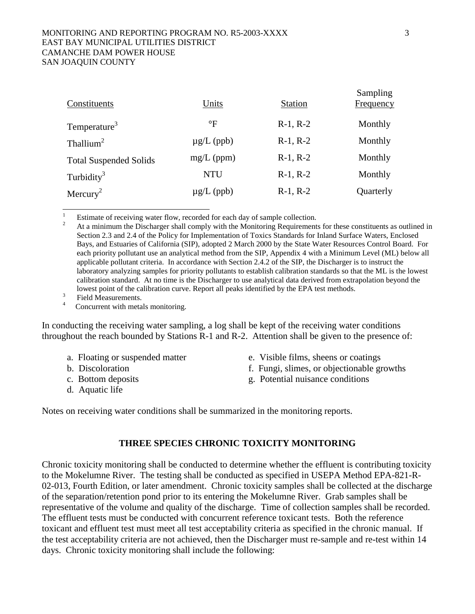#### MONITORING AND REPORTING PROGRAM NO. R5-2003-XXXX 3 EAST BAY MUNICIPAL UTILITIES DISTRICT CAMANCHE DAM POWER HOUSE SAN JOAQUIN COUNTY

| Constituents                  | Units           | Station    | Башрища<br>Frequency |
|-------------------------------|-----------------|------------|----------------------|
| Temperature <sup>3</sup>      | $\rm ^{\circ}F$ | $R-1, R-2$ | Monthly              |
| Thallium <sup>2</sup>         | $\mu$ g/L (ppb) | $R-1, R-2$ | Monthly              |
| <b>Total Suspended Solids</b> | $mg/L$ (ppm)    | $R-1, R-2$ | Monthly              |
| Turbidity <sup>3</sup>        | <b>NTU</b>      | $R-1, R-2$ | Monthly              |
| Mercury <sup>2</sup>          | $\mu$ g/L (ppb) | $R-1, R-2$ | Quarterly            |

In conducting the receiving water sampling, a log shall be kept of the receiving water conditions throughout the reach bounded by Stations R-1 and R-2. Attention shall be given to the presence of:

- 
- 
- 
- d. Aquatic life
- a. Floating or suspended matter e. Visible films, sheens or coatings
- b. Discoloration f. Fungi, slimes, or objectionable growths
- c. Bottom deposits g. Potential nuisance conditions

Notes on receiving water conditions shall be summarized in the monitoring reports.

## **THREE SPECIES CHRONIC TOXICITY MONITORING**

Chronic toxicity monitoring shall be conducted to determine whether the effluent is contributing toxicity to the Mokelumne River. The testing shall be conducted as specified in USEPA Method EPA-821-R-02-013, Fourth Edition, or later amendment. Chronic toxicity samples shall be collected at the discharge of the separation/retention pond prior to its entering the Mokelumne River. Grab samples shall be representative of the volume and quality of the discharge. Time of collection samples shall be recorded. The effluent tests must be conducted with concurrent reference toxicant tests. Both the reference toxicant and effluent test must meet all test acceptability criteria as specified in the chronic manual. If the test acceptability criteria are not achieved, then the Discharger must re-sample and re-test within 14 days. Chronic toxicity monitoring shall include the following:

 $S<sub>omn</sub>$ ling

<sup>&</sup>lt;sup>1</sup> Estimate of receiving water flow, recorded for each day of sample collection.<br><sup>2</sup> At a minimum the Discharger shall comply with the Monitoring Requirements for these constituents as outlined in Section 2.3 and 2.4 of the Policy for Implementation of Toxics Standards for Inland Surface Waters, Enclosed Bays, and Estuaries of California (SIP), adopted 2 March 2000 by the State Water Resources Control Board. For each priority pollutant use an analytical method from the SIP, Appendix 4 with a Minimum Level (ML) below all applicable pollutant criteria. In accordance with Section 2.4.2 of the SIP, the Discharger is to instruct the laboratory analyzing samples for priority pollutants to establish calibration standards so that the ML is the lowest calibration standard. At no time is the Discharger to use analytical data derived from extrapolation beyond the lowest point of the calibration curve. Report all peaks identified by the EPA test methods.<br><sup>3</sup> Field Measurements.<br>4 Concurrent with metals monitoring.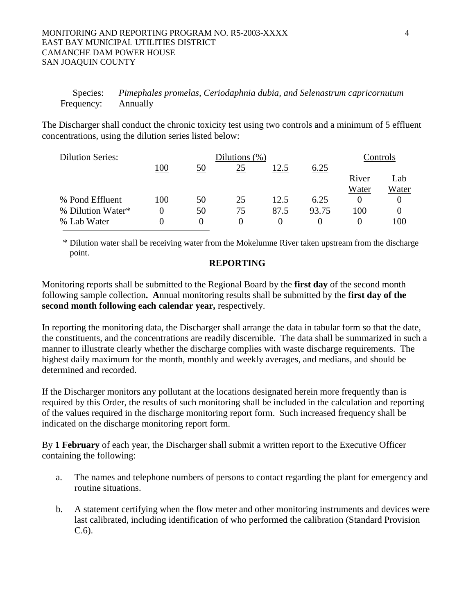### MONITORING AND REPORTING PROGRAM NO. R5-2003-XXXX 4 EAST BAY MUNICIPAL UTILITIES DISTRICT CAMANCHE DAM POWER HOUSE SAN JOAQUIN COUNTY

 Species: *Pimephales promelas, Ceriodaphnia dubia, and Selenastrum capricornutum* Frequency: Annually

The Discharger shall conduct the chronic toxicity test using two controls and a minimum of 5 effluent concentrations, using the dilution series listed below:

| <b>Dilution Series:</b> |     |          | Dilutions $(\%)$ |      |       |       | Controls |
|-------------------------|-----|----------|------------------|------|-------|-------|----------|
|                         | 100 | 50       | 25               | 12.5 | 6.25  |       |          |
|                         |     |          |                  |      |       | River | Lab      |
|                         |     |          |                  |      |       | Water | Water    |
| % Pond Effluent         | 100 | 50       | 25               | 12.5 | 6.25  |       |          |
| % Dilution Water*       |     | 50       | 75               | 87.5 | 93.75 | 100   | $\theta$ |
| % Lab Water             |     | $\Omega$ |                  |      |       |       | 100      |

\* Dilution water shall be receiving water from the Mokelumne River taken upstream from the discharge point.

### **REPORTING**

Monitoring reports shall be submitted to the Regional Board by the **first day** of the second month following sample collection**. A**nnual monitoring results shall be submitted by the **first day of the second month following each calendar year,** respectively.

In reporting the monitoring data, the Discharger shall arrange the data in tabular form so that the date, the constituents, and the concentrations are readily discernible. The data shall be summarized in such a manner to illustrate clearly whether the discharge complies with waste discharge requirements. The highest daily maximum for the month, monthly and weekly averages, and medians, and should be determined and recorded.

If the Discharger monitors any pollutant at the locations designated herein more frequently than is required by this Order, the results of such monitoring shall be included in the calculation and reporting of the values required in the discharge monitoring report form. Such increased frequency shall be indicated on the discharge monitoring report form.

By **1 February** of each year, the Discharger shall submit a written report to the Executive Officer containing the following:

- a. The names and telephone numbers of persons to contact regarding the plant for emergency and routine situations.
- b. A statement certifying when the flow meter and other monitoring instruments and devices were last calibrated, including identification of who performed the calibration (Standard Provision C.6).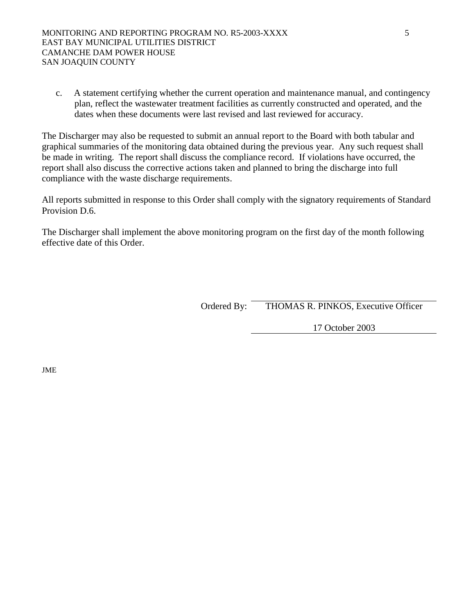c. A statement certifying whether the current operation and maintenance manual, and contingency plan, reflect the wastewater treatment facilities as currently constructed and operated, and the dates when these documents were last revised and last reviewed for accuracy.

The Discharger may also be requested to submit an annual report to the Board with both tabular and graphical summaries of the monitoring data obtained during the previous year. Any such request shall be made in writing. The report shall discuss the compliance record. If violations have occurred, the report shall also discuss the corrective actions taken and planned to bring the discharge into full compliance with the waste discharge requirements.

All reports submitted in response to this Order shall comply with the signatory requirements of Standard Provision D.6.

The Discharger shall implement the above monitoring program on the first day of the month following effective date of this Order.

Ordered By: THOMAS R. PINKOS, Executive Officer

17 October 2003

JME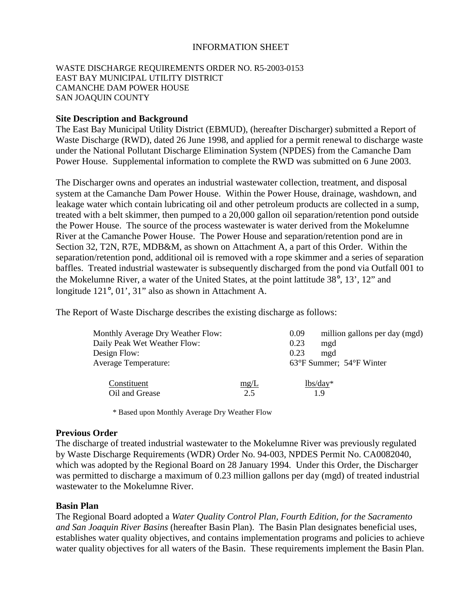# INFORMATION SHEET

### WASTE DISCHARGE REQUIREMENTS ORDER NO. R5-2003-0153 EAST BAY MUNICIPAL UTILITY DISTRICT CAMANCHE DAM POWER HOUSE SAN JOAQUIN COUNTY

### **Site Description and Background**

The East Bay Municipal Utility District (EBMUD), (hereafter Discharger) submitted a Report of Waste Discharge (RWD), dated 26 June 1998, and applied for a permit renewal to discharge waste under the National Pollutant Discharge Elimination System (NPDES) from the Camanche Dam Power House. Supplemental information to complete the RWD was submitted on 6 June 2003.

The Discharger owns and operates an industrial wastewater collection, treatment, and disposal system at the Camanche Dam Power House. Within the Power House, drainage, washdown, and leakage water which contain lubricating oil and other petroleum products are collected in a sump, treated with a belt skimmer, then pumped to a 20,000 gallon oil separation/retention pond outside the Power House. The source of the process wastewater is water derived from the Mokelumne River at the Camanche Power House. The Power House and separation/retention pond are in Section 32, T2N, R7E, MDB&M, as shown on Attachment A, a part of this Order. Within the separation/retention pond, additional oil is removed with a rope skimmer and a series of separation baffles. Treated industrial wastewater is subsequently discharged from the pond via Outfall 001 to the Mokelumne River, a water of the United States, at the point lattitude 38°, 13', 12" and longitude 121°, 01', 31" also as shown in Attachment A.

The Report of Waste Discharge describes the existing discharge as follows:

| <b>Monthly Average Dry Weather Flow:</b> |      | 0.09 | million gallons per day (mgd) |
|------------------------------------------|------|------|-------------------------------|
| Daily Peak Wet Weather Flow:             |      | 0.23 | mgd                           |
| Design Flow:                             |      | 0.23 | mgd                           |
| <b>Average Temperature:</b>              |      |      | 63°F Summer; 54°F Winter      |
| Constituent                              | mg/L |      | $lbs/day*$                    |
| Oil and Grease                           | 2.5  |      | 19                            |

\* Based upon Monthly Average Dry Weather Flow

### **Previous Order**

The discharge of treated industrial wastewater to the Mokelumne River was previously regulated by Waste Discharge Requirements (WDR) Order No. 94-003, NPDES Permit No. CA0082040, which was adopted by the Regional Board on 28 January 1994. Under this Order, the Discharger was permitted to discharge a maximum of 0.23 million gallons per day (mgd) of treated industrial wastewater to the Mokelumne River.

### **Basin Plan**

The Regional Board adopted a *Water Quality Control Plan, Fourth Edition, for the Sacramento and San Joaquin River Basins* (hereafter Basin Plan). The Basin Plan designates beneficial uses, establishes water quality objectives, and contains implementation programs and policies to achieve water quality objectives for all waters of the Basin. These requirements implement the Basin Plan.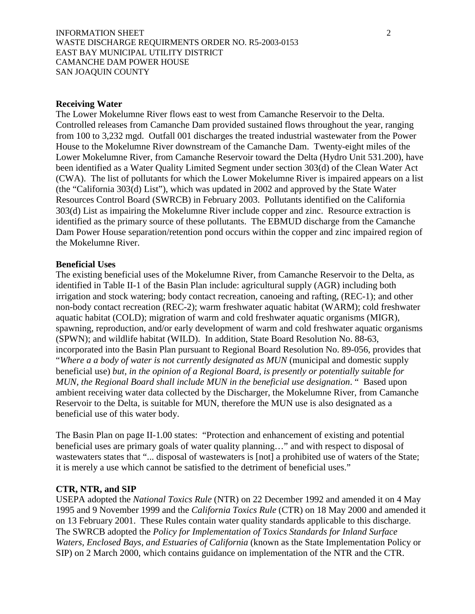### INFORMATION SHEET 2 WASTE DISCHARGE REQUIRMENTS ORDER NO. R5-2003-0153 EAST BAY MUNICIPAL UTILITY DISTRICT CAMANCHE DAM POWER HOUSE SAN JOAQUIN COUNTY

### **Receiving Water**

The Lower Mokelumne River flows east to west from Camanche Reservoir to the Delta. Controlled releases from Camanche Dam provided sustained flows throughout the year, ranging from 100 to 3,232 mgd. Outfall 001 discharges the treated industrial wastewater from the Power House to the Mokelumne River downstream of the Camanche Dam. Twenty-eight miles of the Lower Mokelumne River, from Camanche Reservoir toward the Delta (Hydro Unit 531.200), have been identified as a Water Quality Limited Segment under section 303(d) of the Clean Water Act (CWA). The list of pollutants for which the Lower Mokelumne River is impaired appears on a list (the "California 303(d) List"), which was updated in 2002 and approved by the State Water Resources Control Board (SWRCB) in February 2003. Pollutants identified on the California 303(d) List as impairing the Mokelumne River include copper and zinc. Resource extraction is identified as the primary source of these pollutants. The EBMUD discharge from the Camanche Dam Power House separation/retention pond occurs within the copper and zinc impaired region of the Mokelumne River.

#### **Beneficial Uses**

The existing beneficial uses of the Mokelumne River, from Camanche Reservoir to the Delta, as identified in Table II-1 of the Basin Plan include: agricultural supply (AGR) including both irrigation and stock watering; body contact recreation, canoeing and rafting, (REC-1); and other non-body contact recreation (REC-2); warm freshwater aquatic habitat (WARM); cold freshwater aquatic habitat (COLD); migration of warm and cold freshwater aquatic organisms (MIGR), spawning, reproduction, and/or early development of warm and cold freshwater aquatic organisms (SPWN); and wildlife habitat (WILD). In addition, State Board Resolution No. 88-63, incorporated into the Basin Plan pursuant to Regional Board Resolution No. 89-056, provides that "*Where a a body of water is not currently designated as MUN* (municipal and domestic supply beneficial use) *but, in the opinion of a Regional Board, is presently or potentially suitable for MUN, the Regional Board shall include MUN in the beneficial use designation*. " Based upon ambient receiving water data collected by the Discharger, the Mokelumne River, from Camanche Reservoir to the Delta, is suitable for MUN, therefore the MUN use is also designated as a beneficial use of this water body.

The Basin Plan on page II-1.00 states: "Protection and enhancement of existing and potential beneficial uses are primary goals of water quality planning…" and with respect to disposal of wastewaters states that "... disposal of wastewaters is [not] a prohibited use of waters of the State; it is merely a use which cannot be satisfied to the detriment of beneficial uses."

### **CTR, NTR, and SIP**

USEPA adopted the *National Toxics Rule* (NTR) on 22 December 1992 and amended it on 4 May 1995 and 9 November 1999 and the *California Toxics Rule* (CTR) on 18 May 2000 and amended it on 13 February 2001. These Rules contain water quality standards applicable to this discharge. The SWRCB adopted the *Policy for Implementation of Toxics Standards for Inland Surface Waters, Enclosed Bays, and Estuaries of California* (known as the State Implementation Policy or SIP) on 2 March 2000, which contains guidance on implementation of the NTR and the CTR.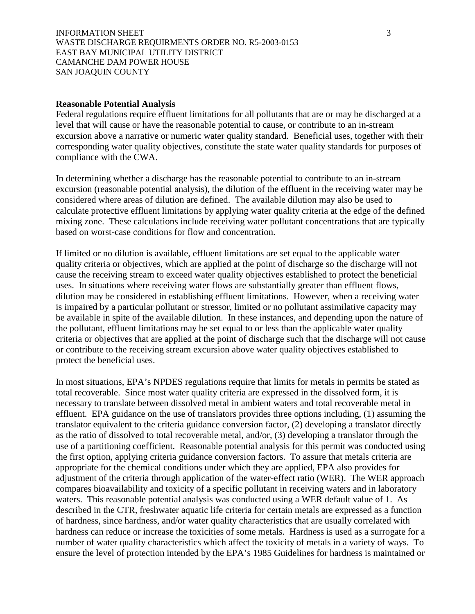### INFORMATION SHEET 3 WASTE DISCHARGE REQUIRMENTS ORDER NO. R5-2003-0153 EAST BAY MUNICIPAL UTILITY DISTRICT CAMANCHE DAM POWER HOUSE SAN JOAQUIN COUNTY

#### **Reasonable Potential Analysis**

Federal regulations require effluent limitations for all pollutants that are or may be discharged at a level that will cause or have the reasonable potential to cause, or contribute to an in-stream excursion above a narrative or numeric water quality standard. Beneficial uses, together with their corresponding water quality objectives, constitute the state water quality standards for purposes of compliance with the CWA.

In determining whether a discharge has the reasonable potential to contribute to an in-stream excursion (reasonable potential analysis), the dilution of the effluent in the receiving water may be considered where areas of dilution are defined. The available dilution may also be used to calculate protective effluent limitations by applying water quality criteria at the edge of the defined mixing zone. These calculations include receiving water pollutant concentrations that are typically based on worst-case conditions for flow and concentration.

If limited or no dilution is available, effluent limitations are set equal to the applicable water quality criteria or objectives, which are applied at the point of discharge so the discharge will not cause the receiving stream to exceed water quality objectives established to protect the beneficial uses. In situations where receiving water flows are substantially greater than effluent flows, dilution may be considered in establishing effluent limitations. However, when a receiving water is impaired by a particular pollutant or stressor, limited or no pollutant assimilative capacity may be available in spite of the available dilution. In these instances, and depending upon the nature of the pollutant, effluent limitations may be set equal to or less than the applicable water quality criteria or objectives that are applied at the point of discharge such that the discharge will not cause or contribute to the receiving stream excursion above water quality objectives established to protect the beneficial uses.

In most situations, EPA's NPDES regulations require that limits for metals in permits be stated as total recoverable. Since most water quality criteria are expressed in the dissolved form, it is necessary to translate between dissolved metal in ambient waters and total recoverable metal in effluent. EPA guidance on the use of translators provides three options including, (1) assuming the translator equivalent to the criteria guidance conversion factor, (2) developing a translator directly as the ratio of dissolved to total recoverable metal, and/or, (3) developing a translator through the use of a partitioning coefficient. Reasonable potential analysis for this permit was conducted using the first option, applying criteria guidance conversion factors. To assure that metals criteria are appropriate for the chemical conditions under which they are applied, EPA also provides for adjustment of the criteria through application of the water-effect ratio (WER). The WER approach compares bioavailability and toxicity of a specific pollutant in receiving waters and in laboratory waters. This reasonable potential analysis was conducted using a WER default value of 1. As described in the CTR, freshwater aquatic life criteria for certain metals are expressed as a function of hardness, since hardness, and/or water quality characteristics that are usually correlated with hardness can reduce or increase the toxicities of some metals. Hardness is used as a surrogate for a number of water quality characteristics which affect the toxicity of metals in a variety of ways. To ensure the level of protection intended by the EPA's 1985 Guidelines for hardness is maintained or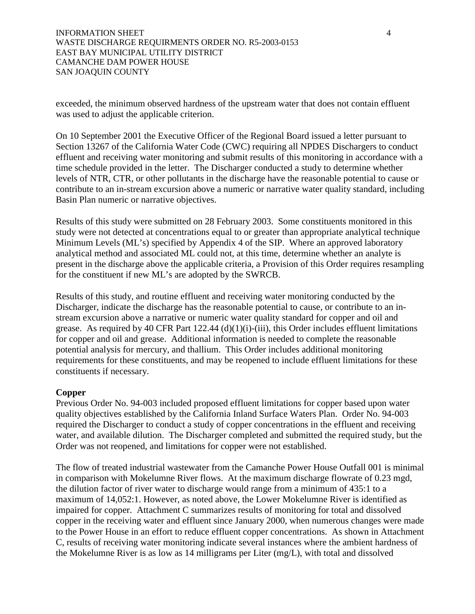exceeded, the minimum observed hardness of the upstream water that does not contain effluent was used to adjust the applicable criterion.

On 10 September 2001 the Executive Officer of the Regional Board issued a letter pursuant to Section 13267 of the California Water Code (CWC) requiring all NPDES Dischargers to conduct effluent and receiving water monitoring and submit results of this monitoring in accordance with a time schedule provided in the letter. The Discharger conducted a study to determine whether levels of NTR, CTR, or other pollutants in the discharge have the reasonable potential to cause or contribute to an in-stream excursion above a numeric or narrative water quality standard, including Basin Plan numeric or narrative objectives.

Results of this study were submitted on 28 February 2003. Some constituents monitored in this study were not detected at concentrations equal to or greater than appropriate analytical technique Minimum Levels (ML's) specified by Appendix 4 of the SIP. Where an approved laboratory analytical method and associated ML could not, at this time, determine whether an analyte is present in the discharge above the applicable criteria, a Provision of this Order requires resampling for the constituent if new ML's are adopted by the SWRCB.

Results of this study, and routine effluent and receiving water monitoring conducted by the Discharger, indicate the discharge has the reasonable potential to cause, or contribute to an instream excursion above a narrative or numeric water quality standard for copper and oil and grease. As required by 40 CFR Part  $122.44$  (d)(1)(i)-(iii), this Order includes effluent limitations for copper and oil and grease. Additional information is needed to complete the reasonable potential analysis for mercury, and thallium. This Order includes additional monitoring requirements for these constituents, and may be reopened to include effluent limitations for these constituents if necessary.

## **Copper**

Previous Order No. 94-003 included proposed effluent limitations for copper based upon water quality objectives established by the California Inland Surface Waters Plan. Order No. 94-003 required the Discharger to conduct a study of copper concentrations in the effluent and receiving water, and available dilution. The Discharger completed and submitted the required study, but the Order was not reopened, and limitations for copper were not established.

The flow of treated industrial wastewater from the Camanche Power House Outfall 001 is minimal in comparison with Mokelumne River flows. At the maximum discharge flowrate of 0.23 mgd, the dilution factor of river water to discharge would range from a minimum of 435:1 to a maximum of 14,052:1. However, as noted above, the Lower Mokelumne River is identified as impaired for copper. Attachment C summarizes results of monitoring for total and dissolved copper in the receiving water and effluent since January 2000, when numerous changes were made to the Power House in an effort to reduce effluent copper concentrations. As shown in Attachment C, results of receiving water monitoring indicate several instances where the ambient hardness of the Mokelumne River is as low as 14 milligrams per Liter (mg/L), with total and dissolved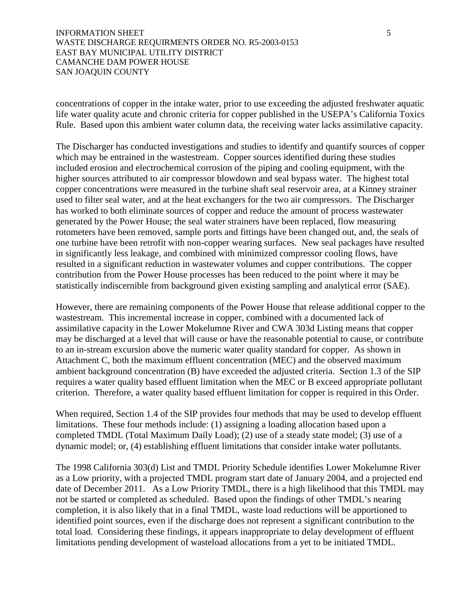### INFORMATION SHEET 5 WASTE DISCHARGE REQUIRMENTS ORDER NO. R5-2003-0153 EAST BAY MUNICIPAL UTILITY DISTRICT CAMANCHE DAM POWER HOUSE SAN JOAQUIN COUNTY

concentrations of copper in the intake water, prior to use exceeding the adjusted freshwater aquatic life water quality acute and chronic criteria for copper published in the USEPA's California Toxics Rule. Based upon this ambient water column data, the receiving water lacks assimilative capacity.

The Discharger has conducted investigations and studies to identify and quantify sources of copper which may be entrained in the wastestream. Copper sources identified during these studies included erosion and electrochemical corrosion of the piping and cooling equipment, with the higher sources attributed to air compressor blowdown and seal bypass water. The highest total copper concentrations were measured in the turbine shaft seal reservoir area, at a Kinney strainer used to filter seal water, and at the heat exchangers for the two air compressors. The Discharger has worked to both eliminate sources of copper and reduce the amount of process wastewater generated by the Power House; the seal water strainers have been replaced, flow measuring rotometers have been removed, sample ports and fittings have been changed out, and, the seals of one turbine have been retrofit with non-copper wearing surfaces. New seal packages have resulted in significantly less leakage, and combined with minimized compressor cooling flows, have resulted in a significant reduction in wastewater volumes and copper contributions. The copper contribution from the Power House processes has been reduced to the point where it may be statistically indiscernible from background given existing sampling and analytical error (SAE).

However, there are remaining components of the Power House that release additional copper to the wastestream. This incremental increase in copper, combined with a documented lack of assimilative capacity in the Lower Mokelumne River and CWA 303d Listing means that copper may be discharged at a level that will cause or have the reasonable potential to cause, or contribute to an in-stream excursion above the numeric water quality standard for copper. As shown in Attachment C, both the maximum effluent concentration (MEC) and the observed maximum ambient background concentration (B) have exceeded the adjusted criteria. Section 1.3 of the SIP requires a water quality based effluent limitation when the MEC or B exceed appropriate pollutant criterion. Therefore, a water quality based effluent limitation for copper is required in this Order.

When required, Section 1.4 of the SIP provides four methods that may be used to develop effluent limitations. These four methods include: (1) assigning a loading allocation based upon a completed TMDL (Total Maximum Daily Load); (2) use of a steady state model; (3) use of a dynamic model; or, (4) establishing effluent limitations that consider intake water pollutants.

The 1998 California 303(d) List and TMDL Priority Schedule identifies Lower Mokelumne River as a Low priority, with a projected TMDL program start date of January 2004, and a projected end date of December 2011. As a Low Priority TMDL, there is a high likelihood that this TMDL may not be started or completed as scheduled. Based upon the findings of other TMDL's nearing completion, it is also likely that in a final TMDL, waste load reductions will be apportioned to identified point sources, even if the discharge does not represent a significant contribution to the total load. Considering these findings, it appears inappropriate to delay development of effluent limitations pending development of wasteload allocations from a yet to be initiated TMDL.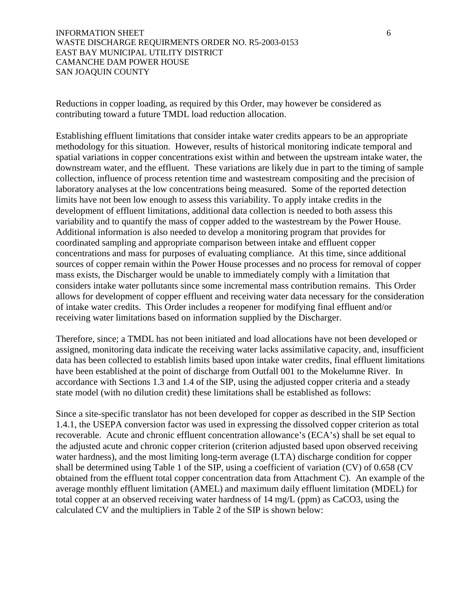INFORMATION SHEET 6 WASTE DISCHARGE REQUIRMENTS ORDER NO. R5-2003-0153 EAST BAY MUNICIPAL UTILITY DISTRICT CAMANCHE DAM POWER HOUSE SAN JOAQUIN COUNTY

Reductions in copper loading, as required by this Order, may however be considered as contributing toward a future TMDL load reduction allocation.

Establishing effluent limitations that consider intake water credits appears to be an appropriate methodology for this situation. However, results of historical monitoring indicate temporal and spatial variations in copper concentrations exist within and between the upstream intake water, the downstream water, and the effluent. These variations are likely due in part to the timing of sample collection, influence of process retention time and wastestream compositing and the precision of laboratory analyses at the low concentrations being measured. Some of the reported detection limits have not been low enough to assess this variability. To apply intake credits in the development of effluent limitations, additional data collection is needed to both assess this variability and to quantify the mass of copper added to the wastestream by the Power House. Additional information is also needed to develop a monitoring program that provides for coordinated sampling and appropriate comparison between intake and effluent copper concentrations and mass for purposes of evaluating compliance. At this time, since additional sources of copper remain within the Power House processes and no process for removal of copper mass exists, the Discharger would be unable to immediately comply with a limitation that considers intake water pollutants since some incremental mass contribution remains. This Order allows for development of copper effluent and receiving water data necessary for the consideration of intake water credits. This Order includes a reopener for modifying final effluent and/or receiving water limitations based on information supplied by the Discharger.

Therefore, since; a TMDL has not been initiated and load allocations have not been developed or assigned, monitoring data indicate the receiving water lacks assimilative capacity, and, insufficient data has been collected to establish limits based upon intake water credits, final effluent limitations have been established at the point of discharge from Outfall 001 to the Mokelumne River. In accordance with Sections 1.3 and 1.4 of the SIP, using the adjusted copper criteria and a steady state model (with no dilution credit) these limitations shall be established as follows:

Since a site-specific translator has not been developed for copper as described in the SIP Section 1.4.1, the USEPA conversion factor was used in expressing the dissolved copper criterion as total recoverable. Acute and chronic effluent concentration allowance's (ECA's) shall be set equal to the adjusted acute and chronic copper criterion (criterion adjusted based upon observed receiving water hardness), and the most limiting long-term average (LTA) discharge condition for copper shall be determined using Table 1 of the SIP, using a coefficient of variation (CV) of 0.658 (CV obtained from the effluent total copper concentration data from Attachment C). An example of the average monthly effluent limitation (AMEL) and maximum daily effluent limitation (MDEL) for total copper at an observed receiving water hardness of 14 mg/L (ppm) as CaCO3, using the calculated CV and the multipliers in Table 2 of the SIP is shown below: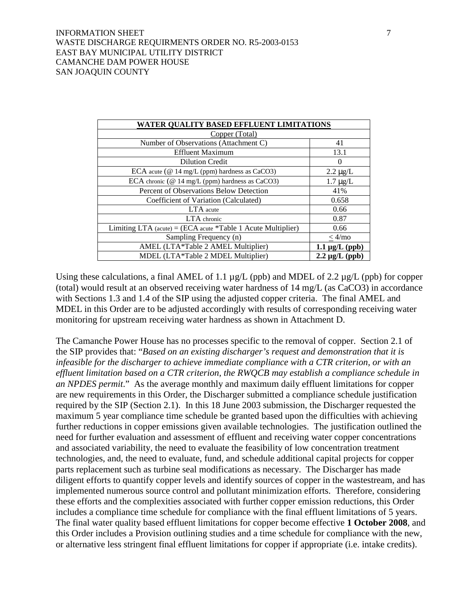### INFORMATION SHEET 7 2 WASTE DISCHARGE REQUIRMENTS ORDER NO. R5-2003-0153 EAST BAY MUNICIPAL UTILITY DISTRICT CAMANCHE DAM POWER HOUSE SAN JOAQUIN COUNTY

| WATER QUALITY BASED EFFLUENT LIMITATIONS                        |                     |  |  |  |
|-----------------------------------------------------------------|---------------------|--|--|--|
| Copper (Total)                                                  |                     |  |  |  |
| Number of Observations (Attachment C)                           | 41                  |  |  |  |
| <b>Effluent Maximum</b>                                         | 13.1                |  |  |  |
| <b>Dilution Credit</b>                                          | $\Omega$            |  |  |  |
| ECA acute ( $@14$ mg/L (ppm) hardness as CaCO3)                 | $2.2 \mu g/L$       |  |  |  |
| ECA chronic ( $@14$ mg/L (ppm) hardness as CaCO3)               | $1.7 \mu g/L$       |  |  |  |
| Percent of Observations Below Detection                         | 41%                 |  |  |  |
| Coefficient of Variation (Calculated)                           | 0.658               |  |  |  |
| LTA acute                                                       | 0.66                |  |  |  |
| LTA chronic                                                     | 0.87                |  |  |  |
| Limiting LTA (acute) = (ECA acute $*$ Table 1 Acute Multiplier) | 0.66                |  |  |  |
| Sampling Frequency (n)                                          | $<$ 4/mo            |  |  |  |
| AMEL (LTA*Table 2 AMEL Multiplier)                              | $1.1 \mu g/L$ (ppb) |  |  |  |
| MDEL (LTA*Table 2 MDEL Multiplier)                              | $2.2 \mu g/L$ (ppb) |  |  |  |

Using these calculations, a final AMEL of 1.1  $\mu$ g/L (ppb) and MDEL of 2.2  $\mu$ g/L (ppb) for copper (total) would result at an observed receiving water hardness of 14 mg/L (as CaCO3) in accordance with Sections 1.3 and 1.4 of the SIP using the adjusted copper criteria. The final AMEL and MDEL in this Order are to be adjusted accordingly with results of corresponding receiving water monitoring for upstream receiving water hardness as shown in Attachment D.

The Camanche Power House has no processes specific to the removal of copper. Section 2.1 of the SIP provides that: "*Based on an existing discharger's request and demonstration that it is infeasible for the discharger to achieve immediate compliance with a CTR criterion, or with an effluent limitation based on a CTR criterion, the RWQCB may establish a compliance schedule in an NPDES permit*." As the average monthly and maximum daily effluent limitations for copper are new requirements in this Order, the Discharger submitted a compliance schedule justification required by the SIP (Section 2.1). In this 18 June 2003 submission, the Discharger requested the maximum 5 year compliance time schedule be granted based upon the difficulties with achieving further reductions in copper emissions given available technologies. The justification outlined the need for further evaluation and assessment of effluent and receiving water copper concentrations and associated variability, the need to evaluate the feasibility of low concentration treatment technologies, and, the need to evaluate, fund, and schedule additional capital projects for copper parts replacement such as turbine seal modifications as necessary. The Discharger has made diligent efforts to quantify copper levels and identify sources of copper in the wastestream, and has implemented numerous source control and pollutant minimization efforts. Therefore, considering these efforts and the complexities associated with further copper emission reductions, this Order includes a compliance time schedule for compliance with the final effluent limitations of 5 years. The final water quality based effluent limitations for copper become effective **1 October 2008**, and this Order includes a Provision outlining studies and a time schedule for compliance with the new, or alternative less stringent final effluent limitations for copper if appropriate (i.e. intake credits).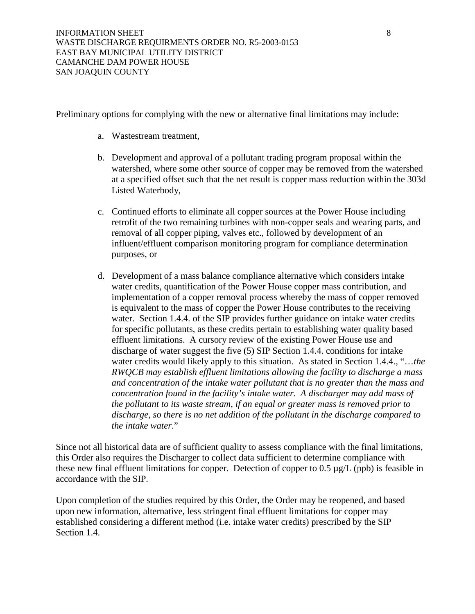Preliminary options for complying with the new or alternative final limitations may include:

- a. Wastestream treatment,
- b. Development and approval of a pollutant trading program proposal within the watershed, where some other source of copper may be removed from the watershed at a specified offset such that the net result is copper mass reduction within the 303d Listed Waterbody,
- c. Continued efforts to eliminate all copper sources at the Power House including retrofit of the two remaining turbines with non-copper seals and wearing parts, and removal of all copper piping, valves etc., followed by development of an influent/effluent comparison monitoring program for compliance determination purposes, or
- d. Development of a mass balance compliance alternative which considers intake water credits, quantification of the Power House copper mass contribution, and implementation of a copper removal process whereby the mass of copper removed is equivalent to the mass of copper the Power House contributes to the receiving water. Section 1.4.4. of the SIP provides further guidance on intake water credits for specific pollutants, as these credits pertain to establishing water quality based effluent limitations. A cursory review of the existing Power House use and discharge of water suggest the five (5) SIP Section 1.4.4. conditions for intake water credits would likely apply to this situation. As stated in Section 1.4.4., "…*the RWQCB may establish effluent limitations allowing the facility to discharge a mass and concentration of the intake water pollutant that is no greater than the mass and concentration found in the facility's intake water. A discharger may add mass of the pollutant to its waste stream, if an equal or greater mass is removed prior to discharge, so there is no net addition of the pollutant in the discharge compared to the intake water*."

Since not all historical data are of sufficient quality to assess compliance with the final limitations, this Order also requires the Discharger to collect data sufficient to determine compliance with these new final effluent limitations for copper. Detection of copper to 0.5 µg/L (ppb) is feasible in accordance with the SIP.

Upon completion of the studies required by this Order, the Order may be reopened, and based upon new information, alternative, less stringent final effluent limitations for copper may established considering a different method (i.e. intake water credits) prescribed by the SIP Section 1.4.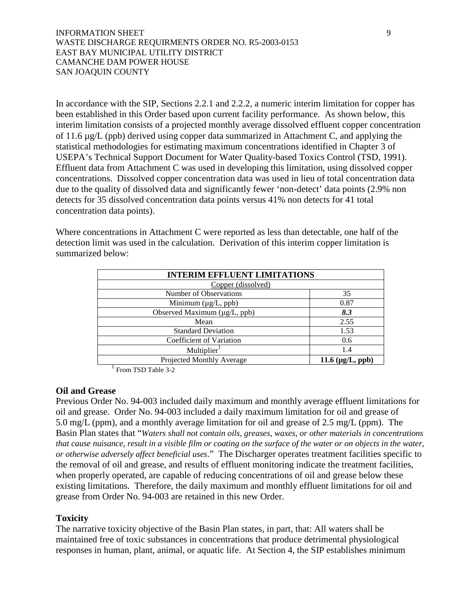### INFORMATION SHEET 9 WASTE DISCHARGE REQUIRMENTS ORDER NO. R5-2003-0153 EAST BAY MUNICIPAL UTILITY DISTRICT CAMANCHE DAM POWER HOUSE SAN JOAQUIN COUNTY

In accordance with the SIP, Sections 2.2.1 and 2.2.2, a numeric interim limitation for copper has been established in this Order based upon current facility performance. As shown below, this interim limitation consists of a projected monthly average dissolved effluent copper concentration of 11.6 µg/L (ppb) derived using copper data summarized in Attachment C, and applying the statistical methodologies for estimating maximum concentrations identified in Chapter 3 of USEPA's Technical Support Document for Water Quality-based Toxics Control (TSD, 1991). Effluent data from Attachment C was used in developing this limitation, using dissolved copper concentrations. Dissolved copper concentration data was used in lieu of total concentration data due to the quality of dissolved data and significantly fewer 'non-detect' data points (2.9% non detects for 35 dissolved concentration data points versus 41% non detects for 41 total concentration data points).

Where concentrations in Attachment C were reported as less than detectable, one half of the detection limit was used in the calculation. Derivation of this interim copper limitation is summarized below:

| <b>INTERIM EFFLUENT LIMITATIONS</b> |                       |  |  |
|-------------------------------------|-----------------------|--|--|
| Copper (dissolved)                  |                       |  |  |
| Number of Observations              | 35                    |  |  |
| Minimum $(\mu g/L, ppb)$            | 0.87                  |  |  |
| Observed Maximum (µg/L, ppb)        | 8.3                   |  |  |
| Mean                                | 2.55                  |  |  |
| <b>Standard Deviation</b>           | 1.53                  |  |  |
| Coefficient of Variation            | 0.6                   |  |  |
| Multiplier <sup>1</sup>             | 1.4                   |  |  |
| Projected Monthly Average           | 11.6 $(\mu g/L, ppb)$ |  |  |

<sup>1</sup> From TSD Table 3-2

### **Oil and Grease**

Previous Order No. 94-003 included daily maximum and monthly average effluent limitations for oil and grease. Order No. 94-003 included a daily maximum limitation for oil and grease of 5.0 mg/L (ppm), and a monthly average limitation for oil and grease of 2.5 mg/L (ppm). The Basin Plan states that "*Waters shall not contain oils, greases, waxes, or other materials in concentrations that cause nuisance, result in a visible film or coating on the surface of the water or on objects in the water, or otherwise adversely affect beneficial uses*." The Discharger operates treatment facilities specific to the removal of oil and grease, and results of effluent monitoring indicate the treatment facilities, when properly operated, are capable of reducing concentrations of oil and grease below these existing limitations. Therefore, the daily maximum and monthly effluent limitations for oil and grease from Order No. 94-003 are retained in this new Order.

## **Toxicity**

The narrative toxicity objective of the Basin Plan states, in part, that: All waters shall be maintained free of toxic substances in concentrations that produce detrimental physiological responses in human, plant, animal, or aquatic life. At Section 4, the SIP establishes minimum